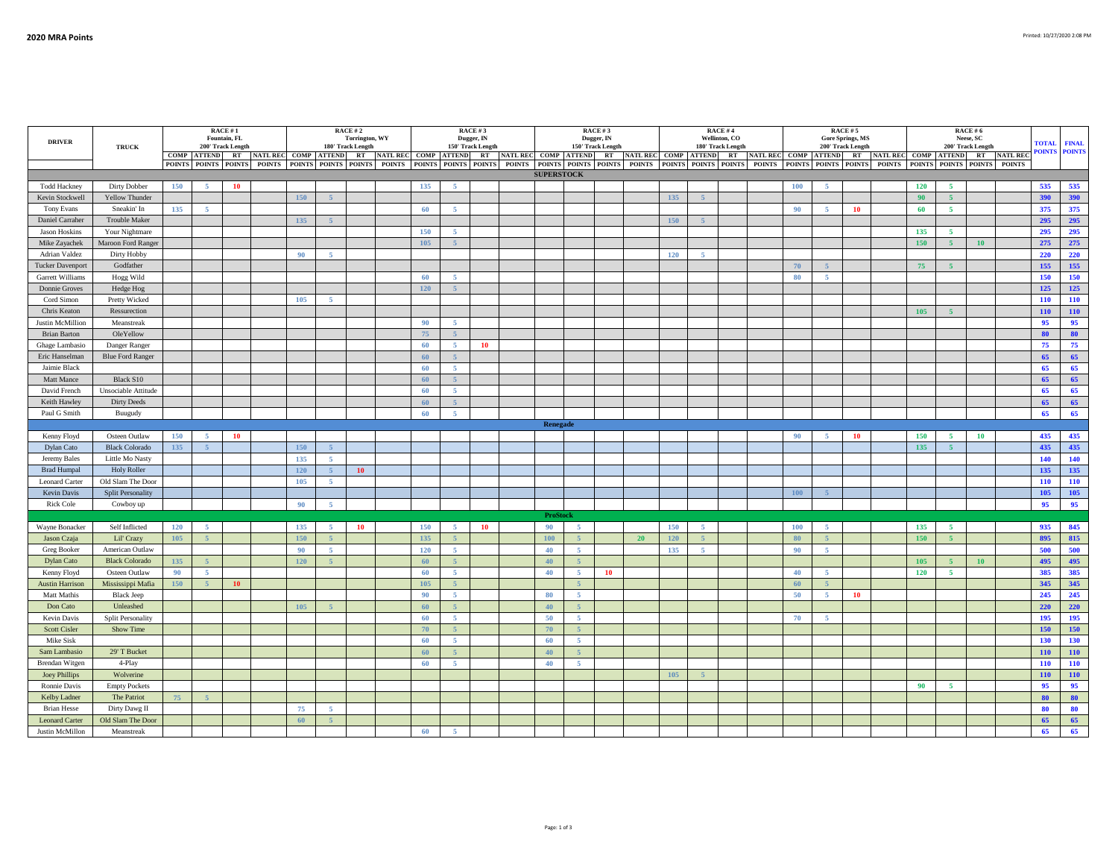| <b>DRIVER</b>                               | <b>TRUCK</b>                       |     |                                      | RACE #1<br>Fountain, FL<br>200' Track Length |                         | RACE #2<br><b>Torrington, WY</b><br>180' Track Length |                |                                                                                                                                                                                                                                |                         | RACE#3<br>Dugger, IN<br>150' Track Length |                |           |                         |                   |                | RACE #3<br>Dugger, IN<br>150' Track Length |                         |     |                      | RACE #4<br>Wellinton, CO<br>180' Track Length |                         |     |                | $\textbf{RACE}\,\texttt{\#}\,\texttt{5}$<br><b>Gore Springs, MS</b><br>200' Track Length |                         |     | RACE # 6<br>Neese, SC<br>200' Track Length | <b>TOTAL</b> | <b>FINAL</b> |            |                      |
|---------------------------------------------|------------------------------------|-----|--------------------------------------|----------------------------------------------|-------------------------|-------------------------------------------------------|----------------|--------------------------------------------------------------------------------------------------------------------------------------------------------------------------------------------------------------------------------|-------------------------|-------------------------------------------|----------------|-----------|-------------------------|-------------------|----------------|--------------------------------------------|-------------------------|-----|----------------------|-----------------------------------------------|-------------------------|-----|----------------|------------------------------------------------------------------------------------------|-------------------------|-----|--------------------------------------------|--------------|--------------|------------|----------------------|
|                                             |                                    |     | $\textbf{COMP}\quad \textbf{ATTEND}$ |                                              | RT NATL REC COMP ATTEND |                                                       |                |                                                                                                                                                                                                                                | RT NATL REC COMP ATTEND |                                           |                |           | RT NATL REC COMP ATTEND |                   |                |                                            | RT NATL REC COMP ATTEND |     |                      |                                               | RT NATL REC COMP ATTEND |     |                |                                                                                          | RT NATL REC COMP ATTEND |     |                                            |              | RT NATL REC  |            | <b>POINTS POINTS</b> |
|                                             |                                    |     |                                      |                                              |                         |                                                       |                | POINTS POINTS POINTS POINTS POINTS POINTS POINTS POINTS POINTS POINTS POINTS POINTS POINTS POINTS POINTS POINTS POINTS POINTS POINTS POINTS POINTS POINTS POINTS POINTS POINTS POINTS POINTS POINTS POINTS POINTS POINTS POINT |                         |                                           |                |           |                         |                   |                |                                            |                         |     |                      |                                               |                         |     |                |                                                                                          |                         |     |                                            |              |              |            |                      |
|                                             |                                    |     |                                      |                                              |                         |                                                       |                |                                                                                                                                                                                                                                |                         |                                           |                |           |                         | <b>SUPERSTOCK</b> |                |                                            |                         |     |                      |                                               |                         |     |                |                                                                                          |                         |     |                                            |              |              |            |                      |
| <b>Todd Hackney</b>                         | Dirty Dobber                       | 150 | 5 <sub>5</sub>                       | <b>10</b>                                    |                         |                                                       |                |                                                                                                                                                                                                                                |                         | 135                                       | 5 <sub>1</sub> |           |                         |                   |                |                                            |                         |     |                      |                                               |                         | 100 | $-5$           |                                                                                          |                         | 120 | 5 <sub>5</sub>                             |              |              | 535        | 535                  |
| Kevin Stockwell                             | Yellow Thunder                     |     |                                      |                                              |                         | 150                                                   | $\overline{5}$ |                                                                                                                                                                                                                                |                         |                                           |                |           |                         |                   |                |                                            |                         | 135 | 5 <sup>1</sup>       |                                               |                         |     |                |                                                                                          |                         | 90  | 5 <sup>1</sup>                             |              |              | 390        | 390                  |
| Tony Evans                                  | Sneakin' In                        | 135 | $\sim$                               |                                              |                         |                                                       |                |                                                                                                                                                                                                                                |                         | 60                                        | 5 <sub>1</sub> |           |                         |                   |                |                                            |                         |     |                      |                                               |                         | 90  | -5             | 10                                                                                       |                         | 60  | 5.                                         |              |              | 375        | 375                  |
| Daniel Carraher                             | <b>Trouble Maker</b>               |     |                                      |                                              |                         | 135                                                   | $\sim$         |                                                                                                                                                                                                                                |                         |                                           |                |           |                         |                   |                |                                            |                         | 150 | $\overline{z}$       |                                               |                         |     |                |                                                                                          |                         |     |                                            |              |              | 295        | 295                  |
| <b>Jason Hoskins</b>                        | Your Nightmare                     |     |                                      |                                              |                         |                                                       |                |                                                                                                                                                                                                                                |                         | 150                                       | -5             |           |                         |                   |                |                                            |                         |     |                      |                                               |                         |     |                |                                                                                          |                         | 135 | -5                                         |              |              | 295        | 295                  |
| Mike Zayachek                               | Maroon Ford Ranger                 |     |                                      |                                              |                         |                                                       |                |                                                                                                                                                                                                                                |                         | 105                                       | $\overline{5}$ |           |                         |                   |                |                                            |                         |     |                      |                                               |                         |     |                |                                                                                          |                         | 150 | 5 <sup>7</sup>                             | <b>10</b>    |              | 275        | 275                  |
| Adrian Valdez                               | Dirty Hobby<br>Godfather           |     |                                      |                                              |                         | 90                                                    | $\sim$         |                                                                                                                                                                                                                                |                         |                                           |                |           |                         |                   |                |                                            |                         | 120 | $\sim$               |                                               |                         | 70  | 5 <sup>5</sup> |                                                                                          |                         | 75  | 5 <sup>1</sup>                             |              |              | 220<br>155 | 220<br>155           |
| <b>Tucker Davenport</b><br>Garrett Williams | Hogg Wild                          |     |                                      |                                              |                         |                                                       |                |                                                                                                                                                                                                                                |                         | 60                                        | $\sim$         |           |                         |                   |                |                                            |                         |     |                      |                                               |                         | 80  | -5             |                                                                                          |                         |     |                                            |              |              | 150        | 150                  |
| Donnie Groves                               | Hedge Hog                          |     |                                      |                                              |                         |                                                       |                |                                                                                                                                                                                                                                |                         | 120                                       | 5 <sup>°</sup> |           |                         |                   |                |                                            |                         |     |                      |                                               |                         |     |                |                                                                                          |                         |     |                                            |              |              | 125        | 125                  |
|                                             | Pretty Wicked                      |     |                                      |                                              |                         | 105                                                   | $\sim$         |                                                                                                                                                                                                                                |                         |                                           |                |           |                         |                   |                |                                            |                         |     |                      |                                               |                         |     |                |                                                                                          |                         |     |                                            |              |              | 110        | 110                  |
| Cord Simon<br>Chris Keaton                  | Ressurection                       |     |                                      |                                              |                         |                                                       |                |                                                                                                                                                                                                                                |                         |                                           |                |           |                         |                   |                |                                            |                         |     |                      |                                               |                         |     |                |                                                                                          |                         | 105 | $\overline{5}$                             |              |              | 110        | 110                  |
| Justin McMillion                            | Meanstreak                         |     |                                      |                                              |                         |                                                       |                |                                                                                                                                                                                                                                |                         | 90                                        | $\sim$         |           |                         |                   |                |                                            |                         |     |                      |                                               |                         |     |                |                                                                                          |                         |     |                                            |              |              | 95         | 95                   |
| <b>Brian Barton</b>                         | OleYellow                          |     |                                      |                                              |                         |                                                       |                |                                                                                                                                                                                                                                |                         | 75                                        | $-5$           |           |                         |                   |                |                                            |                         |     |                      |                                               |                         |     |                |                                                                                          |                         |     |                                            |              |              | 80         | 80                   |
| Ghage Lambasio                              | Danger Ranger                      |     |                                      |                                              |                         |                                                       |                |                                                                                                                                                                                                                                |                         | 60                                        | -5             | 10        |                         |                   |                |                                            |                         |     |                      |                                               |                         |     |                |                                                                                          |                         |     |                                            |              |              | 75         | 75                   |
| Eric Hanselman                              | <b>Blue Ford Ranger</b>            |     |                                      |                                              |                         |                                                       |                |                                                                                                                                                                                                                                |                         | 60                                        | $\sim$         |           |                         |                   |                |                                            |                         |     |                      |                                               |                         |     |                |                                                                                          |                         |     |                                            |              |              | 65         | 65                   |
| Jaimie Black                                |                                    |     |                                      |                                              |                         |                                                       |                |                                                                                                                                                                                                                                |                         | 60                                        | -5             |           |                         |                   |                |                                            |                         |     |                      |                                               |                         |     |                |                                                                                          |                         |     |                                            |              |              | 65         | 65                   |
| Matt Mance                                  | Black S10                          |     |                                      |                                              |                         |                                                       |                |                                                                                                                                                                                                                                |                         | 60                                        | 5 <sup>1</sup> |           |                         |                   |                |                                            |                         |     |                      |                                               |                         |     |                |                                                                                          |                         |     |                                            |              |              | 65         | 65                   |
| David French                                | Unsociable Attitude                |     |                                      |                                              |                         |                                                       |                |                                                                                                                                                                                                                                |                         | 60                                        | 5 <sup>5</sup> |           |                         |                   |                |                                            |                         |     |                      |                                               |                         |     |                |                                                                                          |                         |     |                                            |              |              | 65         | 65                   |
| Keith Hawley                                | <b>Dirty Deeds</b>                 |     |                                      |                                              |                         |                                                       |                |                                                                                                                                                                                                                                |                         | 60                                        | $\sim$         |           |                         |                   |                |                                            |                         |     |                      |                                               |                         |     |                |                                                                                          |                         |     |                                            |              |              | 65         | 65                   |
| Paul G Smith                                | Buugudy                            |     |                                      |                                              |                         |                                                       |                |                                                                                                                                                                                                                                |                         | 60                                        | 5 <sup>1</sup> |           |                         |                   |                |                                            |                         |     |                      |                                               |                         |     |                |                                                                                          |                         |     |                                            |              |              | 65         | 65                   |
|                                             |                                    |     |                                      |                                              |                         |                                                       |                |                                                                                                                                                                                                                                |                         |                                           |                |           |                         | Renegade          |                |                                            |                         |     |                      |                                               |                         |     |                |                                                                                          |                         |     |                                            |              |              |            |                      |
| Kenny Floyd                                 | Osteen Outlaw                      | 150 | $\sim$                               | 10                                           |                         |                                                       |                |                                                                                                                                                                                                                                |                         |                                           |                |           |                         |                   |                |                                            |                         |     |                      |                                               |                         | 90  | -5             | 10                                                                                       |                         | 150 | -5                                         | 10           |              | 435        | 435                  |
| Dylan Cato                                  | <b>Black Colorado</b>              | 135 | 5 <sup>1</sup>                       |                                              |                         | 150                                                   | $\sqrt{5}$     |                                                                                                                                                                                                                                |                         |                                           |                |           |                         |                   |                |                                            |                         |     |                      |                                               |                         |     |                |                                                                                          |                         | 135 | 5 <sup>7</sup>                             |              |              | 435        | 435                  |
| Jeremy Bales                                | Little Mo Nasty                    |     |                                      |                                              |                         | 135                                                   | -5             |                                                                                                                                                                                                                                |                         |                                           |                |           |                         |                   |                |                                            |                         |     |                      |                                               |                         |     |                |                                                                                          |                         |     |                                            |              |              | 140        | 140                  |
| <b>Brad Humpal</b>                          | <b>Holy Roller</b>                 |     |                                      |                                              |                         | 120                                                   | $\sim$         | 10                                                                                                                                                                                                                             |                         |                                           |                |           |                         |                   |                |                                            |                         |     |                      |                                               |                         |     |                |                                                                                          |                         |     |                                            |              |              | 135        | 135                  |
| <b>Leonard Carter</b>                       | Old Slam The Door                  |     |                                      |                                              |                         | 105                                                   | 5 <sub>1</sub> |                                                                                                                                                                                                                                |                         |                                           |                |           |                         |                   |                |                                            |                         |     |                      |                                               |                         |     |                |                                                                                          |                         |     |                                            |              |              | 110        | 110                  |
| Kevin Davis                                 | Split Personality                  |     |                                      |                                              |                         |                                                       |                |                                                                                                                                                                                                                                |                         |                                           |                |           |                         |                   |                |                                            |                         |     |                      |                                               |                         | 100 | $\overline{5}$ |                                                                                          |                         |     |                                            |              |              | 105        | 105                  |
| <b>Rick Cole</b>                            | Cowboy up                          |     |                                      |                                              |                         | 90                                                    | $\sim$         |                                                                                                                                                                                                                                |                         |                                           |                |           |                         |                   |                |                                            |                         |     |                      |                                               |                         |     |                |                                                                                          |                         |     |                                            |              |              | 95         | 95                   |
|                                             |                                    |     |                                      |                                              |                         |                                                       |                |                                                                                                                                                                                                                                |                         |                                           |                |           |                         | <b>ProStock</b>   |                |                                            |                         |     |                      |                                               |                         |     |                |                                                                                          |                         |     |                                            |              |              |            |                      |
| Wayne Bonacker                              | Self Inflicted                     | 120 | -51                                  |                                              |                         | 135                                                   | $\sim$         | 10                                                                                                                                                                                                                             |                         | 150                                       | -5             | <b>10</b> |                         | 90                | A.             |                                            |                         | 150 | $\tilde{\mathbf{x}}$ |                                               |                         | 100 | -5             |                                                                                          |                         | 135 | -5                                         |              |              | 935        | 845                  |
| Jason Czaja                                 | Lil' Crazy                         | 105 | $-5$                                 |                                              |                         | 150                                                   | $\overline{z}$ |                                                                                                                                                                                                                                |                         | 135                                       | $\overline{z}$ |           |                         | 100               | $\overline{5}$ |                                            | 20                      | 120 | $\overline{z}$       |                                               |                         | 80  | $\overline{5}$ |                                                                                          |                         | 150 | 5 <sup>1</sup>                             |              |              | 895        | 815                  |
| Greg Booker                                 | American Outlaw                    |     |                                      |                                              |                         | 90                                                    | 5 <sub>1</sub> |                                                                                                                                                                                                                                |                         | 120                                       | 5 <sub>1</sub> |           |                         | 40                | 5 <sub>5</sub> |                                            |                         | 135 | $-5$                 |                                               |                         | 90  | $-5$           |                                                                                          |                         |     |                                            |              |              | 500        | 500                  |
| Dylan Cato                                  | <b>Black Colorado</b>              | 135 | 5 <sup>1</sup>                       |                                              |                         | 120                                                   | 5 <sub>1</sub> |                                                                                                                                                                                                                                |                         | 60                                        | $\sim$         |           |                         | 40                | 5 <sup>°</sup> |                                            |                         |     |                      |                                               |                         |     |                |                                                                                          |                         | 105 | 5 <sup>5</sup>                             | 10           |              | 495        | 495                  |
| Kenny Floyd                                 | Osteen Outlaw                      | 90  | $\sim$                               |                                              |                         |                                                       |                |                                                                                                                                                                                                                                |                         | 60                                        | 5 <sup>1</sup> |           |                         | 40                | $\sim$         | 10                                         |                         |     |                      |                                               |                         | 40  | -5             |                                                                                          |                         | 120 | $\sim$                                     |              |              | 385        | 385                  |
| <b>Austin Harrison</b>                      | Mississippi Mafia                  | 150 |                                      | 10                                           |                         |                                                       |                |                                                                                                                                                                                                                                |                         | 105                                       | $\overline{z}$ |           |                         |                   | $\overline{a}$ |                                            |                         |     |                      |                                               |                         | 60  | $\overline{5}$ |                                                                                          |                         |     |                                            |              |              | 345        | 345                  |
| Matt Mathis                                 | <b>Black Jeep</b>                  |     |                                      |                                              |                         |                                                       |                |                                                                                                                                                                                                                                |                         | 90                                        | -5             |           |                         | 80                | $-5$           |                                            |                         |     |                      |                                               |                         | 50  | -5.            | <b>10</b>                                                                                |                         |     |                                            |              |              | 245        | 245                  |
| Don Cato                                    | Unleashed                          |     |                                      |                                              |                         | 105                                                   | -5             |                                                                                                                                                                                                                                |                         | 60                                        | $\sqrt{5}$     |           |                         | 40                | $-5$           |                                            |                         |     |                      |                                               |                         |     |                |                                                                                          |                         |     |                                            |              |              | 220        | 220                  |
| Kevin Davis                                 | <b>Split Personality</b>           |     |                                      |                                              |                         |                                                       |                |                                                                                                                                                                                                                                |                         | 60                                        | 5 <sup>1</sup> |           |                         | 50                | 5 <sub>1</sub> |                                            |                         |     |                      |                                               |                         | 70  | $-5$           |                                                                                          |                         |     |                                            |              |              | 195        | 195                  |
| <b>Scott Cisler</b>                         | Show Time                          |     |                                      |                                              |                         |                                                       |                |                                                                                                                                                                                                                                |                         | 70                                        | $\overline{z}$ |           |                         | 70                | $\leq$         |                                            |                         |     |                      |                                               |                         |     |                |                                                                                          |                         |     |                                            |              |              | 150        | 150                  |
| Mike Sisk                                   |                                    |     |                                      |                                              |                         |                                                       |                |                                                                                                                                                                                                                                |                         | 60                                        | $-5$           |           |                         | 60                | $\sqrt{5}$     |                                            |                         |     |                      |                                               |                         |     |                |                                                                                          |                         |     |                                            |              |              | 130        | 130                  |
| Sam Lambasio                                | 29' T Bucket                       |     |                                      |                                              |                         |                                                       |                |                                                                                                                                                                                                                                |                         | 60                                        | $-5$           |           |                         | 40                | 5 <sup>1</sup> |                                            |                         |     |                      |                                               |                         |     |                |                                                                                          |                         |     |                                            |              |              | <b>110</b> | 110                  |
| Brendan Witgen                              | 4-Play                             |     |                                      |                                              |                         |                                                       |                |                                                                                                                                                                                                                                |                         | 60                                        | 5 <sub>1</sub> |           |                         | 40                | $\sim$         |                                            |                         |     |                      |                                               |                         |     |                |                                                                                          |                         |     |                                            |              |              | 110        | 110                  |
| <b>Joey Phillips</b>                        | Wolverine                          |     |                                      |                                              |                         |                                                       |                |                                                                                                                                                                                                                                |                         |                                           |                |           |                         |                   |                |                                            |                         | 105 | $\overline{z}$       |                                               |                         |     |                |                                                                                          |                         |     |                                            |              |              | <b>110</b> | 110                  |
| Ronnie Davis                                | <b>Empty Pockets</b>               |     |                                      |                                              |                         |                                                       |                |                                                                                                                                                                                                                                |                         |                                           |                |           |                         |                   |                |                                            |                         |     |                      |                                               |                         |     |                |                                                                                          |                         | 90  | $\overline{5}$                             |              |              | 95         | 95                   |
| Kelby Ladner                                | The Patriot                        | 75  | $\overline{a}$                       |                                              |                         |                                                       |                |                                                                                                                                                                                                                                |                         |                                           |                |           |                         |                   |                |                                            |                         |     |                      |                                               |                         |     |                |                                                                                          |                         |     |                                            |              |              | 80         | 80                   |
| <b>Brian Hesse</b><br><b>Leonard Carter</b> | Dirty Dawg II<br>Old Slam The Door |     |                                      |                                              |                         | 75                                                    | $\sim$<br>-F   |                                                                                                                                                                                                                                |                         |                                           |                |           |                         |                   |                |                                            |                         |     |                      |                                               |                         |     |                |                                                                                          |                         |     |                                            |              |              | 80<br>65   | 80<br>65             |
| Justin McMillon                             | Meanstreak                         |     |                                      |                                              |                         | 60                                                    |                |                                                                                                                                                                                                                                |                         | 60                                        | 5 <sub>1</sub> |           |                         |                   |                |                                            |                         |     |                      |                                               |                         |     |                |                                                                                          |                         |     |                                            |              |              | 65         | 65                   |
|                                             |                                    |     |                                      |                                              |                         |                                                       |                |                                                                                                                                                                                                                                |                         |                                           |                |           |                         |                   |                |                                            |                         |     |                      |                                               |                         |     |                |                                                                                          |                         |     |                                            |              |              |            |                      |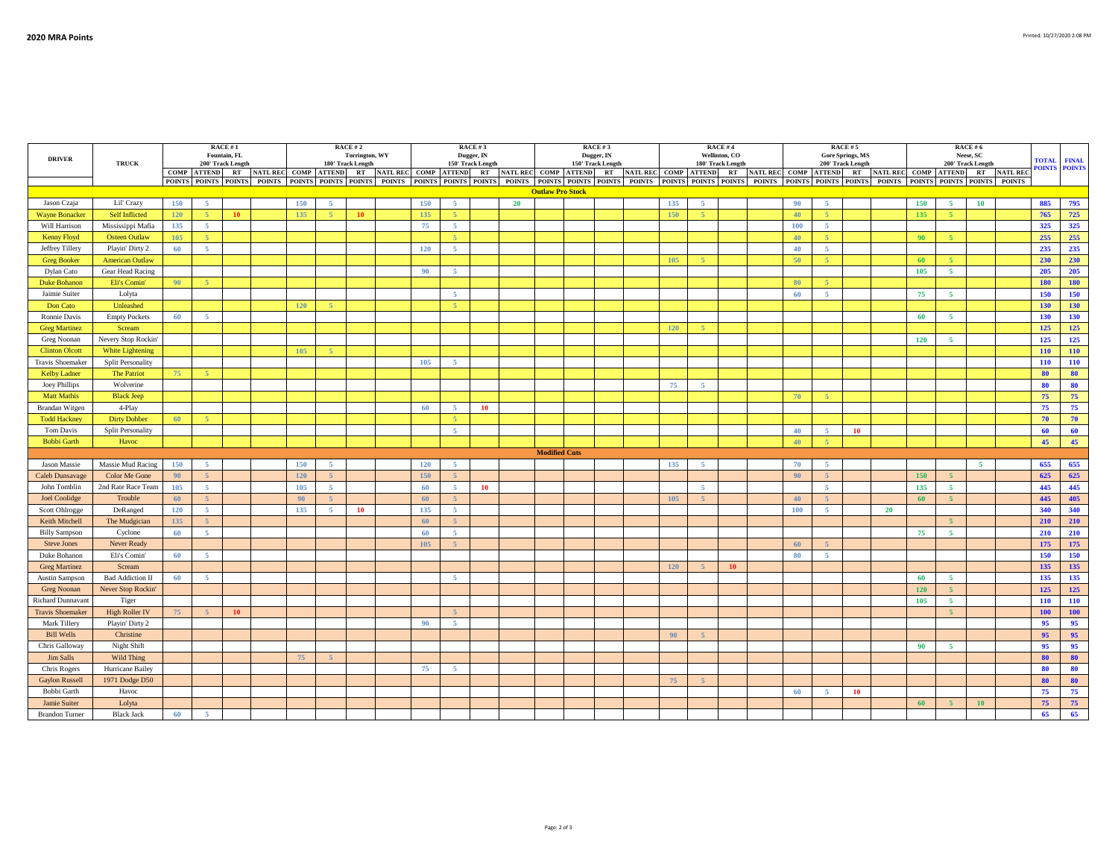| <b>DRIVER</b>            |                          |             |                | RACE #1<br>Fountain, FL |     | RACE # 2<br>Torrington, WY<br>180' Track Length |    |                                                                      |     |                | RACE #3<br>Dugger, IN<br>150' Track Length |    |                         | RACE #3<br>Dugger, IN |            |                | <b>RACE#4</b><br>Wellinton, CO<br>180' Track Length |                                                                                                                                                                                                                                |                | RACE #5<br><b>Gore Springs, MS</b><br>200' Track Length |    |     | <b>TOTAL</b>                                    | <b>FINAL</b>    |                 |                      |
|--------------------------|--------------------------|-------------|----------------|-------------------------|-----|-------------------------------------------------|----|----------------------------------------------------------------------|-----|----------------|--------------------------------------------|----|-------------------------|-----------------------|------------|----------------|-----------------------------------------------------|--------------------------------------------------------------------------------------------------------------------------------------------------------------------------------------------------------------------------------|----------------|---------------------------------------------------------|----|-----|-------------------------------------------------|-----------------|-----------------|----------------------|
|                          | <b>TRUCK</b>             | COMP ATTEND |                | 200' Track Length       |     |                                                 |    | RT NATLREC COMP ATTEND RT NATLREC COMP ATTEND RT NATLREC COMP ATTEND |     |                |                                            |    |                         | 150' Track Length     |            |                |                                                     | RT NATL REC COMP ATTEND RT NATL REC COMP ATTEND                                                                                                                                                                                |                | RT                                                      |    |     | 200' Track Length<br>NATL REC COMP ATTEND<br>RT | <b>NATL REC</b> |                 | <b>POINTS POINTS</b> |
|                          |                          |             |                |                         |     |                                                 |    |                                                                      |     |                |                                            |    |                         |                       |            |                |                                                     | POINTS POINTS POINTS POINTS POINTS POINTS POINTS POINTS POINTS POINTS POINTS POINTS POINTS POINTS POINTS POINTS POINTS POINTS POINTS POINTS POINTS POINTS POINTS POINTS POINTS POINTS POINTS POINTS POINTS POINTS POINTS POINT |                |                                                         |    |     | POINTS POINTS POINTS                            | <b>POINTS</b>   |                 |                      |
|                          |                          |             |                |                         |     |                                                 |    |                                                                      |     |                |                                            |    | <b>Outlaw Pro Stock</b> |                       |            |                |                                                     |                                                                                                                                                                                                                                |                |                                                         |    |     |                                                 |                 |                 |                      |
| Jason Czaja              | Lil' Crazy               | 150         | 5 <sup>1</sup> |                         | 150 | -5 -                                            |    |                                                                      | 150 | 5 <sup>1</sup> |                                            | 20 |                         |                       | 135        | - 5 -          |                                                     | 90                                                                                                                                                                                                                             | -5             |                                                         |    | 150 | $\sqrt{5}$<br>10                                |                 | 885             | 795                  |
| <b>Wayne Bonacker</b>    | <b>Self Inflicted</b>    | 120         | 5 <sup>°</sup> | 10                      | 135 | 5 <sup>1</sup>                                  | 10 |                                                                      | 135 | $\sim$         |                                            |    |                         |                       | 150        | $\sim$         |                                                     | 40                                                                                                                                                                                                                             | $\sim$         |                                                         |    | 135 | 5 <sub>1</sub>                                  |                 | 765             | 725                  |
| Will Harrison            | Mississippi Mafia        | 135         | $-5$           |                         |     |                                                 |    |                                                                      | 75  | 5 <sub>1</sub> |                                            |    |                         |                       |            |                |                                                     | 100                                                                                                                                                                                                                            | $-5$           |                                                         |    |     |                                                 |                 | 325             | 325                  |
| Kenny Floyd              | <b>Osteen Outlaw</b>     | 105         | $\lesssim$     |                         |     |                                                 |    |                                                                      |     |                |                                            |    |                         |                       |            |                |                                                     | 40                                                                                                                                                                                                                             | $\mathcal{L}$  |                                                         |    | 90  | 5 <sup>1</sup>                                  |                 | 255             | 255                  |
| Jeffrey Tillery          | Playin' Dirty 2          | 60          | 5 <sup>1</sup> |                         |     |                                                 |    |                                                                      | 120 | -5             |                                            |    |                         |                       |            |                |                                                     | 40                                                                                                                                                                                                                             | -5             |                                                         |    |     |                                                 |                 | 235             | 235                  |
| <b>Greg Booker</b>       | <b>American Outlaw</b>   |             |                |                         |     |                                                 |    |                                                                      |     |                |                                            |    |                         |                       | 105        | $\overline{5}$ |                                                     | 50                                                                                                                                                                                                                             | $\overline{z}$ |                                                         |    | 60  | -5                                              |                 | 230             | 230                  |
| Dylan Cato               | Gear Head Racing         |             |                |                         |     |                                                 |    |                                                                      | 90  | 5 <sup>1</sup> |                                            |    |                         |                       |            |                |                                                     |                                                                                                                                                                                                                                |                |                                                         |    | 105 | $\overline{5}$                                  |                 | 205             | 205                  |
| Duke Bohanon             | Eli's Comin'             | 90          | $\sim$         |                         |     |                                                 |    |                                                                      |     |                |                                            |    |                         |                       |            |                |                                                     | 80                                                                                                                                                                                                                             | $\overline{z}$ |                                                         |    |     |                                                 |                 | 180             | 180                  |
| Jaimie Suiter            | Lolyta                   |             |                |                         |     |                                                 |    |                                                                      |     | 5 <sup>1</sup> |                                            |    |                         |                       |            |                |                                                     | 60                                                                                                                                                                                                                             | -5.            |                                                         |    | 75  | -5                                              |                 | 150             | 150                  |
| Don Cato                 | Unleashed                |             |                |                         | 120 | $-5$                                            |    |                                                                      |     | $-5$           |                                            |    |                         |                       |            |                |                                                     |                                                                                                                                                                                                                                |                |                                                         |    |     |                                                 |                 | 130             | 130                  |
| Ronnie Davis             | <b>Empty Pockets</b>     | 60          | 5 <sup>1</sup> |                         |     |                                                 |    |                                                                      |     |                |                                            |    |                         |                       |            |                |                                                     |                                                                                                                                                                                                                                |                |                                                         |    | 60  | $\overline{5}$                                  |                 | 130             | 130                  |
| <b>Greg Martinez</b>     | Scream                   |             |                |                         |     |                                                 |    |                                                                      |     |                |                                            |    |                         |                       | 120        | $\overline{5}$ |                                                     |                                                                                                                                                                                                                                |                |                                                         |    |     |                                                 |                 | 125             | 125                  |
| Greg Noonan              | Nevery Stop Rockin'      |             |                |                         |     |                                                 |    |                                                                      |     |                |                                            |    |                         |                       |            |                |                                                     |                                                                                                                                                                                                                                |                |                                                         |    | 120 | $\sqrt{5}$                                      |                 | 125             | 125                  |
| <b>Clinton Olcott</b>    | White Lightening         |             |                |                         | 105 | $\sim$                                          |    |                                                                      |     |                |                                            |    |                         |                       |            |                |                                                     |                                                                                                                                                                                                                                |                |                                                         |    |     |                                                 |                 | 110             | 110                  |
| Travis Shoemaker         | <b>Split Personality</b> |             |                |                         |     |                                                 |    |                                                                      | 105 | 5 <sub>1</sub> |                                            |    |                         |                       |            |                |                                                     |                                                                                                                                                                                                                                |                |                                                         |    |     |                                                 |                 | 110             | 110                  |
| <b>Kelby Ladner</b>      | The Patriot              | 75          | $\overline{a}$ |                         |     |                                                 |    |                                                                      |     |                |                                            |    |                         |                       |            |                |                                                     |                                                                                                                                                                                                                                |                |                                                         |    |     |                                                 |                 | 80              | 80                   |
| Joey Phillips            | Wolverine                |             |                |                         |     |                                                 |    |                                                                      |     |                |                                            |    |                         |                       | 75         | - 5            |                                                     |                                                                                                                                                                                                                                |                |                                                         |    |     |                                                 |                 | 80              | 80                   |
| <b>Matt Mathis</b>       | <b>Black Jeep</b>        |             |                |                         |     |                                                 |    |                                                                      |     |                |                                            |    |                         |                       |            |                |                                                     | 70                                                                                                                                                                                                                             | $-5$           |                                                         |    |     |                                                 |                 | 75              | 75                   |
| Brandan Witgen           | 4-Play                   |             |                |                         |     |                                                 |    |                                                                      | 60  | 5 <sub>1</sub> | 10                                         |    |                         |                       |            |                |                                                     |                                                                                                                                                                                                                                |                |                                                         |    |     |                                                 |                 | 75              | 75                   |
| <b>Todd Hackney</b>      | <b>Dirty Dobber</b>      | 60          | $-5$           |                         |     |                                                 |    |                                                                      |     | 5 <sup>°</sup> |                                            |    |                         |                       |            |                |                                                     |                                                                                                                                                                                                                                |                |                                                         |    |     |                                                 |                 | 70              | 70                   |
| Tom Davis                | <b>Split Personality</b> |             |                |                         |     |                                                 |    |                                                                      |     | 5 <sup>7</sup> |                                            |    |                         |                       |            |                |                                                     | 40                                                                                                                                                                                                                             | $-5$           | 10                                                      |    |     |                                                 |                 | 60              | 60                   |
| <b>Bobbi Garth</b>       | Havoc                    |             |                |                         |     |                                                 |    |                                                                      |     |                |                                            |    |                         |                       |            |                |                                                     | 40                                                                                                                                                                                                                             | $\lesssim$     |                                                         |    |     |                                                 |                 | 45 <sup>°</sup> | 45                   |
|                          |                          |             |                |                         |     |                                                 |    |                                                                      |     |                |                                            |    | <b>Modified Cuts</b>    |                       |            |                |                                                     |                                                                                                                                                                                                                                |                |                                                         |    |     |                                                 |                 |                 |                      |
| Jason Massie             | Massie Mud Racing        | 150         | $\sim$         |                         | 150 | -5                                              |    |                                                                      | 120 | -5             |                                            |    |                         |                       | 135        | -5             |                                                     | 70                                                                                                                                                                                                                             | -5             |                                                         |    |     | 5                                               |                 | 655             | 655                  |
| Caleb Dunsavage          | Color Me Gone            | 90          | 5 <sup>1</sup> |                         | 120 | 5 <sup>1</sup>                                  |    |                                                                      | 150 |                |                                            |    |                         |                       |            |                |                                                     | 90                                                                                                                                                                                                                             | $\epsilon$     |                                                         |    | 150 | 5 <sup>1</sup>                                  |                 | 625             | 625                  |
| John Tomblin             | 2nd Rate Race Team       | 105         | 5 <sup>1</sup> |                         | 105 | $\sim$                                          |    |                                                                      | 60  | 5 <sup>1</sup> | 10                                         |    |                         |                       |            | $\sim$         |                                                     |                                                                                                                                                                                                                                | $\overline{5}$ |                                                         |    | 135 | $\sqrt{5}$                                      |                 | 445             | 445                  |
| <b>Joel Coolidge</b>     | Trouble                  | 60          | $-5$           |                         | 90  | 5 <sup>1</sup>                                  |    |                                                                      | 60  | 5 <sup>1</sup> |                                            |    |                         |                       | 105        | 5 <sup>1</sup> |                                                     | 40                                                                                                                                                                                                                             | $\sim$         |                                                         |    | 60  | 5 <sup>5</sup>                                  |                 | 445             | 405                  |
| Scott Ohlrogge           | DeRanged                 | 120         | 5 <sup>1</sup> |                         | 135 | -5                                              | 10 |                                                                      | 135 | 5 <sub>1</sub> |                                            |    |                         |                       |            |                |                                                     | 100                                                                                                                                                                                                                            | -5             |                                                         | 20 |     |                                                 |                 | 340             | 340                  |
| Keith Mitchell           | The Mudgician            | 135         | 5 <sup>1</sup> |                         |     |                                                 |    |                                                                      | 60  | 5 <sup>1</sup> |                                            |    |                         |                       |            |                |                                                     |                                                                                                                                                                                                                                |                |                                                         |    |     | 5 <sup>5</sup>                                  |                 | 210             | 210                  |
| <b>Billy Sampson</b>     | Cyclone                  | 60          | 5 <sub>1</sub> |                         |     |                                                 |    |                                                                      | 60  | 5 <sub>1</sub> |                                            |    |                         |                       |            |                |                                                     |                                                                                                                                                                                                                                |                |                                                         |    | 75  | $\sqrt{5}$                                      |                 | 210             | 210                  |
| <b>Steve Jones</b>       | Never Ready              |             |                |                         |     |                                                 |    |                                                                      | 105 | $\overline{5}$ |                                            |    |                         |                       |            |                |                                                     | 60                                                                                                                                                                                                                             |                |                                                         |    |     |                                                 |                 | 175             | 175                  |
| Duke Bohanon             | Eli's Comin'             | 60          | 5 <sup>1</sup> |                         |     |                                                 |    |                                                                      |     |                |                                            |    |                         |                       |            |                |                                                     | 80                                                                                                                                                                                                                             | $\sim$         |                                                         |    |     |                                                 |                 | 150             | 150                  |
| <b>Greg Martinez</b>     | Scream                   |             |                |                         |     |                                                 |    |                                                                      |     |                |                                            |    |                         |                       | <b>120</b> |                | 10                                                  |                                                                                                                                                                                                                                |                |                                                         |    |     |                                                 |                 | 135             | 135                  |
| Austin Sampson           | <b>Bad Addiction II</b>  | 60          | -5             |                         |     |                                                 |    |                                                                      |     | 5 <sub>1</sub> |                                            |    |                         |                       |            |                |                                                     |                                                                                                                                                                                                                                |                |                                                         |    | 60  | $\sqrt{5}$                                      |                 | 135             | 135                  |
| Greg Noonan              | Never Stop Rockin'       |             |                |                         |     |                                                 |    |                                                                      |     |                |                                            |    |                         |                       |            |                |                                                     |                                                                                                                                                                                                                                |                |                                                         |    | 120 | 5 <sup>1</sup>                                  |                 | 125             | 125                  |
| <b>Richard Dunnavant</b> | Tiger                    |             |                |                         |     |                                                 |    |                                                                      |     |                |                                            |    |                         |                       |            |                |                                                     |                                                                                                                                                                                                                                |                |                                                         |    | 105 | $\sqrt{5}$                                      |                 | 110             | 110                  |
| <b>Travis Shoemaker</b>  | <b>High Roller IV</b>    | 75          | 5 <sup>1</sup> | <b>10</b>               |     |                                                 |    |                                                                      |     | 5 <sup>5</sup> |                                            |    |                         |                       |            |                |                                                     |                                                                                                                                                                                                                                |                |                                                         |    |     | 5 <sup>5</sup>                                  |                 | <b>100</b>      | 100                  |
| Mark Tillery             | Playin' Dirty 2          |             |                |                         |     |                                                 |    |                                                                      | 90  | 5 <sub>1</sub> |                                            |    |                         |                       |            |                |                                                     |                                                                                                                                                                                                                                |                |                                                         |    |     |                                                 |                 | 95              | 95                   |
| <b>Bill Wells</b>        | Christine                |             |                |                         |     |                                                 |    |                                                                      |     |                |                                            |    |                         |                       | 90         | $\overline{5}$ |                                                     |                                                                                                                                                                                                                                |                |                                                         |    |     |                                                 |                 | 95              | 95                   |
| Chris Galloway           | Night Shift              |             |                |                         |     |                                                 |    |                                                                      |     |                |                                            |    |                         |                       |            |                |                                                     |                                                                                                                                                                                                                                |                |                                                         |    | 90  | $\sqrt{5}$                                      |                 | 95              | 95                   |
| Jim Salls                | Wild Thing               |             |                |                         | 75  | $-5$                                            |    |                                                                      |     |                |                                            |    |                         |                       |            |                |                                                     |                                                                                                                                                                                                                                |                |                                                         |    |     |                                                 |                 | 80              | 80                   |
| Chris Rogers             | Hurricane Bailey         |             |                |                         |     |                                                 |    |                                                                      | 75  | -5             |                                            |    |                         |                       |            |                |                                                     |                                                                                                                                                                                                                                |                |                                                         |    |     |                                                 |                 | 80              | 80                   |
| <b>Gaylon Russell</b>    | 1971 Dodge D50           |             |                |                         |     |                                                 |    |                                                                      |     |                |                                            |    |                         |                       | 75         | $\overline{a}$ |                                                     |                                                                                                                                                                                                                                |                |                                                         |    |     |                                                 |                 | 80              | 80                   |
| Bobbi Garth              | Havoc                    |             |                |                         |     |                                                 |    |                                                                      |     |                |                                            |    |                         |                       |            |                |                                                     | 60                                                                                                                                                                                                                             | -5.            | <b>10</b>                                               |    |     |                                                 |                 | 75              | 75                   |
| Jamie Suiter             | Lolyta                   |             |                |                         |     |                                                 |    |                                                                      |     |                |                                            |    |                         |                       |            |                |                                                     |                                                                                                                                                                                                                                |                |                                                         |    | 60  | 5 <sup>5</sup><br>10                            |                 | 75              | 75                   |
| <b>Brandon Turner</b>    | <b>Black Jack</b>        | 60          | -5             |                         |     |                                                 |    |                                                                      |     |                |                                            |    |                         |                       |            |                |                                                     |                                                                                                                                                                                                                                |                |                                                         |    |     |                                                 |                 | 65              | 65                   |